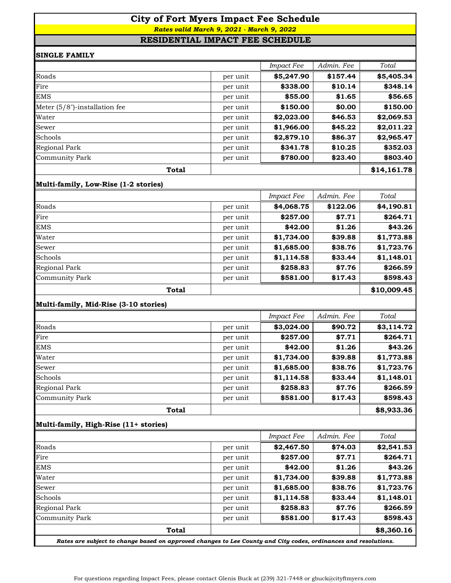# **City of Fort Myers Impact Fee Schedule**  *Rates valid March 9, 2021 - March 9, 2022*

### **RESIDENTIAL IMPACT FEE SCHEDULE**

| <b>SINGLE FAMILY</b>                  |          |                   |            |             |
|---------------------------------------|----------|-------------------|------------|-------------|
|                                       |          | <b>Impact Fee</b> | Admin. Fee | Total       |
| Roads                                 | per unit | \$5,247.90        | \$157.44   | \$5,405.34  |
| Fire                                  | per unit | \$338.00          | \$10.14    | \$348.14    |
| <b>EMS</b>                            | per unit | \$55.00           | \$1.65     | \$56.65     |
| Meter (5/8")-installation fee         | per unit | \$150.00          | \$0.00     | \$150.00    |
| Water                                 | per unit | \$2,023.00        | \$46.53    | \$2,069.53  |
| Sewer                                 | per unit | \$1,966.00        | \$45.22    | \$2,011.22  |
| Schools                               | per unit | \$2,879.10        | \$86.37    | \$2,965.47  |
| Regional Park                         | per unit | \$341.78          | \$10.25    | \$352.03    |
| <b>Community Park</b>                 | per unit | \$780.00          | \$23.40    | \$803.40    |
| <b>Total</b>                          |          |                   |            | \$14,161.78 |
| Multi-family, Low-Rise (1-2 stories)  |          |                   |            |             |
|                                       |          | <b>Impact Fee</b> | Admin. Fee | Total       |
| Roads                                 | per unit | \$4,068.75        | \$122.06   | \$4,190.81  |
| Fire                                  | per unit | \$257.00          | \$7.71     | \$264.71    |
| <b>EMS</b>                            | per unit | \$42.00           | \$1.26     | \$43.26     |
| Water                                 | per unit | \$1,734.00        | \$39.88    | \$1,773.88  |
| Sewer                                 | per unit | \$1,685.00        | \$38.76    | \$1,723.76  |
| Schools                               | per unit | \$1,114.58        | \$33.44    | \$1,148.01  |
| Regional Park                         | per unit | \$258.83          | \$7.76     | \$266.59    |
| <b>Community Park</b>                 | per unit | \$581.00          | \$17.43    | \$598.43    |
| <b>Total</b>                          |          |                   |            | \$10,009.45 |
| Multi-family, Mid-Rise (3-10 stories) |          |                   |            |             |
|                                       |          | <b>Impact Fee</b> | Admin. Fee | Total       |
| Roads                                 | per unit | \$3,024.00        | \$90.72    | \$3,114.72  |
| Fire                                  | per unit | \$257.00          | \$7.71     | \$264.71    |
| <b>EMS</b>                            | per unit | \$42.00           | \$1.26     | \$43.26     |
| Water                                 | per unit | \$1,734.00        | \$39.88    | \$1,773.88  |
| Sewer                                 | per unit | \$1,685.00        | \$38.76    | \$1,723.76  |
| Schools                               | per unit | \$1,114.58        | \$33.44    | \$1,148.01  |
| Regional Park                         | per unit | \$258.83          | \$7.76     | \$266.59    |
| <b>Community Park</b>                 | per unit | \$581.00          | \$17.43    | \$598.43    |
| <b>Total</b>                          |          |                   |            | \$8,933.36  |
| Multi-family, High-Rise (11+ stories) |          |                   |            |             |
|                                       |          | <b>Impact Fee</b> | Admin. Fee | Total       |
| Roads                                 | per unit | \$2,467.50        | \$74.03    | \$2,541.53  |
| Fire                                  | per unit | \$257.00          | \$7.71     | \$264.71    |
| <b>EMS</b>                            | per unit | \$42.00           | \$1.26     | \$43.26     |
| Water                                 | per unit | \$1,734.00        | \$39.88    | \$1,773.88  |
| Sewer                                 | per unit | \$1,685.00        | \$38.76    | \$1,723.76  |
| Schools                               | per unit | \$1,114.58        | \$33.44    | \$1,148.01  |
| Regional Park                         | per unit | \$258.83          | \$7.76     | \$266.59    |
| <b>Community Park</b>                 | per unit | \$581.00          | \$17.43    | \$598.43    |
| <b>Total</b>                          |          |                   |            | \$8,360.16  |

*Rates are subject to change based on approved changes to Lee County and City codes, ordinances and resolutions.*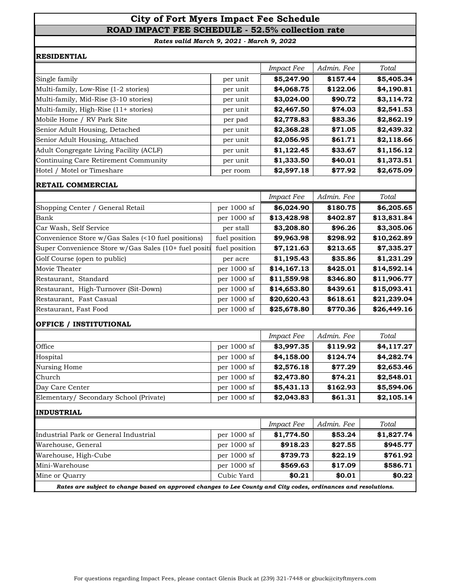# **City of Fort Myers Impact Fee Schedule ROAD IMPACT FEE SCHEDULE - 52.5% collection rate**

*Rates valid March 9, 2021 - March 9, 2022*

#### **RESIDENTIAL**

|                                         |          | <i>Impact Fee</i> | Admin. Fee | Total      |
|-----------------------------------------|----------|-------------------|------------|------------|
| Single family                           | per unit | \$5,247.90        | \$157.44   | \$5,405.34 |
| Multi-family, Low-Rise (1-2 stories)    | per unit | \$4,068.75        | \$122.06   | \$4,190.81 |
| Multi-family, Mid-Rise (3-10 stories)   | per unit | \$3,024.00        | \$90.72    | \$3,114.72 |
| Multi-family, High-Rise (11+ stories)   | per unit | \$2,467.50        | \$74.03    | \$2,541.53 |
| Mobile Home / RV Park Site              | per pad  | \$2,778.83        | \$83.36    | \$2,862.19 |
| Senior Adult Housing, Detached          | per unit | \$2,368.28        | \$71.05    | \$2,439.32 |
| Senior Adult Housing, Attached          | per unit | \$2,056.95        | \$61.71    | \$2,118.66 |
| Adult Congregate Living Facility (ACLF) | per unit | \$1,122.45        | \$33.67    | \$1,156.12 |
| Continuing Care Retirement Community    | per unit | \$1,333.50        | \$40.01    | \$1,373.51 |
| Hotel / Motel or Timeshare              | per room | \$2,597.18        | \$77.92    | \$2,675.09 |

# **RETAIL COMMERCIAL**

|                                                      |               | <b>Impact Fee</b> | Admin. Fee | Total       |
|------------------------------------------------------|---------------|-------------------|------------|-------------|
| Shopping Center / General Retail                     | per 1000 sf   | \$6,024.90        | \$180.75   | \$6,205.65  |
| Bank                                                 | per $1000$ sf | \$13,428.98       | \$402.87   | \$13,831.84 |
| Car Wash, Self Service                               | per stall     | \$3,208.80        | \$96.26    | \$3,305.06  |
| Convenience Store w/Gas Sales (<10 fuel positions)   | fuel position | \$9,963.98        | \$298.92   | \$10,262.89 |
| Super Convenience Store w/Gas Sales (10+ fuel positi | fuel position | \$7,121.63        | \$213.65   | \$7,335.27  |
| Golf Course (open to public)                         | per acre      | \$1,195.43        | \$35.86    | \$1,231.29  |
| Movie Theater                                        | per $1000$ sf | \$14,167.13       | \$425.01   | \$14,592.14 |
| Restaurant, Standard                                 | per $1000$ sf | \$11,559.98       | \$346.80   | \$11,906.77 |
| Restaurant, High-Turnover (Sit-Down)                 | per $1000$ sf | \$14,653.80       | \$439.61   | \$15,093.41 |
| Restaurant, Fast Casual                              | per $1000$ sf | \$20,620.43       | \$618.61   | \$21,239.04 |
| Restaurant, Fast Food                                | per $1000$ sf | \$25,678.80       | \$770.36   | \$26,449.16 |

#### **OFFICE / INSTITUTIONAL**

|                                        |               | <b>Impact Fee</b> | Admin. Fee | Total      |
|----------------------------------------|---------------|-------------------|------------|------------|
| Office                                 | per 1000 sf   | \$3,997.35        | \$119.92   | \$4,117.27 |
| Hospital                               | per 1000 sf   | \$4,158.00        | \$124.74   | \$4,282.74 |
| Nursing Home                           | per 1000 sf   | \$2,576.18        | \$77.29    | \$2,653.46 |
| <b>Church</b>                          | per $1000$ sf | \$2,473.80        | \$74.21    | \$2,548.01 |
| Day Care Center                        | per $1000$ sf | \$5,431.13        | \$162.93   | \$5,594.06 |
| Elementary/ Secondary School (Private) | per 1000 sf   | \$2,043.83        | \$61.31    | \$2,105.14 |

#### **INDUSTRIAL**

|                                                                                                                |               | <b>Impact Fee</b> | Admin. Fee | Total      |  |  |  |
|----------------------------------------------------------------------------------------------------------------|---------------|-------------------|------------|------------|--|--|--|
| Industrial Park or General Industrial                                                                          | per $1000$ sf | \$1,774.50        | \$53.24    | \$1,827.74 |  |  |  |
| Warehouse, General                                                                                             | per $1000$ sf | \$918.23          | \$27.55    | \$945.77   |  |  |  |
| Warehouse, High-Cube                                                                                           | per $1000$ sf | \$739.73          | \$22.19    | \$761.92   |  |  |  |
| Mini-Warehouse                                                                                                 | per 1000 sf   | \$569.63          | \$17.09    | \$586.71   |  |  |  |
| Mine or Quarry                                                                                                 | Cubic Yard    | \$0.21            | \$0.01     | \$0.22     |  |  |  |
| Dates are subject to change based on annuaved changes to Lee County and City sodes, andinances and resolutions |               |                   |            |            |  |  |  |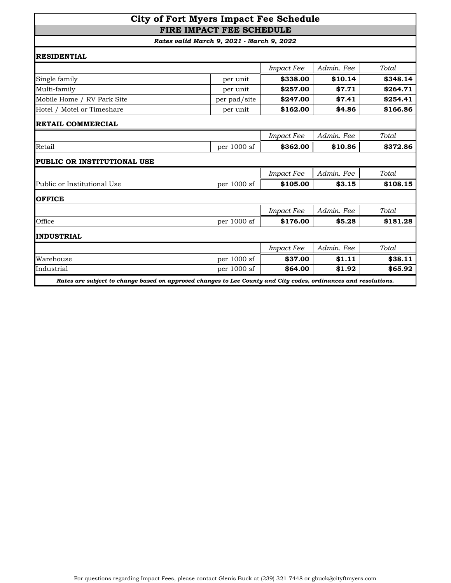## **City of Fort Myers Impact Fee Schedule FIRE IMPACT FEE SCHEDULE**

| <b>RESIDENTIAL</b>                                                                                              |              |                   |            |          |
|-----------------------------------------------------------------------------------------------------------------|--------------|-------------------|------------|----------|
|                                                                                                                 |              | <b>Impact Fee</b> | Admin. Fee | Total    |
| Single family                                                                                                   | per unit     | \$338.00          | \$10.14    | \$348.14 |
| Multi-family                                                                                                    | per unit     | \$257.00          | \$7.71     | \$264.71 |
| Mobile Home / RV Park Site                                                                                      | per pad/site | \$247.00          | \$7.41     | \$254.41 |
| Hotel / Motel or Timeshare                                                                                      | per unit     | \$162.00          | \$4.86     | \$166.86 |
| RETAIL COMMERCIAL                                                                                               |              |                   |            |          |
|                                                                                                                 |              | <b>Impact Fee</b> | Admin. Fee | Total    |
| Retail                                                                                                          | per 1000 sf  | \$362.00          | \$10.86    | \$372.86 |
| PUBLIC OR INSTITUTIONAL USE                                                                                     |              |                   |            |          |
|                                                                                                                 |              | <b>Impact Fee</b> | Admin. Fee | Total    |
| Public or Institutional Use                                                                                     | per 1000 sf  | \$105.00          | \$3.15     | \$108.15 |
| <b>OFFICE</b>                                                                                                   |              |                   |            |          |
|                                                                                                                 |              | <b>Impact Fee</b> | Admin. Fee | Total    |
| Office                                                                                                          | per 1000 sf  | \$176.00          | \$5.28     | \$181.28 |
| <b>INDUSTRIAL</b>                                                                                               |              |                   |            |          |
|                                                                                                                 |              | <b>Impact Fee</b> | Admin. Fee | Total    |
| Warehouse                                                                                                       | per 1000 sf  | \$37.00           | \$1.11     | \$38.11  |
| Industrial                                                                                                      | per 1000 sf  | \$64.00           | \$1.92     | \$65.92  |
| Rates are subject to change based on approved changes to Lee County and City codes, ordinances and resolutions. |              |                   |            |          |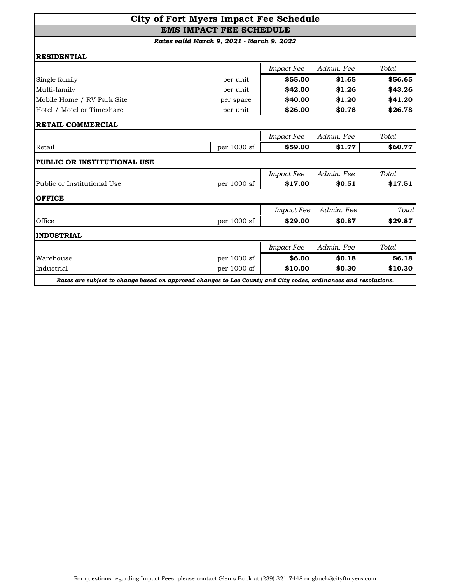## **City of Fort Myers Impact Fee Schedule EMS IMPACT FEE SCHEDULE**

| <b>RESIDENTIAL</b>                 |             |                   |            |         |
|------------------------------------|-------------|-------------------|------------|---------|
|                                    |             | <b>Impact Fee</b> | Admin. Fee | Total   |
| Single family                      | per unit    | \$55.00           | \$1.65     | \$56.65 |
| Multi-family                       | per unit    | \$42.00           | \$1.26     | \$43.26 |
| Mobile Home / RV Park Site         | per space   | \$40.00           | \$1.20     | \$41.20 |
| Hotel / Motel or Timeshare         | per unit    | \$26.00           | \$0.78     | \$26.78 |
| <b>RETAIL COMMERCIAL</b>           |             |                   |            |         |
|                                    |             | <b>Impact Fee</b> | Admin. Fee | Total   |
| Retail                             | per 1000 sf | \$59.00           | \$1.77     | \$60.77 |
| <b>PUBLIC OR INSTITUTIONAL USE</b> |             |                   |            |         |
|                                    |             | <b>Impact Fee</b> | Admin. Fee | Total.  |
| Public or Institutional Use        | per 1000 sf | \$17.00           | \$0.51     | \$17.51 |
| <b>OFFICE</b>                      |             |                   |            |         |
|                                    |             | <b>Impact Fee</b> | Admin. Fee | Total   |
| Office                             | per 1000 sf | \$29.00           | \$0.87     | \$29.87 |
| <b>INDUSTRIAL</b>                  |             |                   |            |         |
|                                    |             | <b>Impact Fee</b> | Admin. Fee | Total   |
| Warehouse                          | per 1000 sf | \$6.00            | \$0.18     | \$6.18  |
| Industrial                         | per 1000 sf | \$10.00           | \$0.30     | \$10.30 |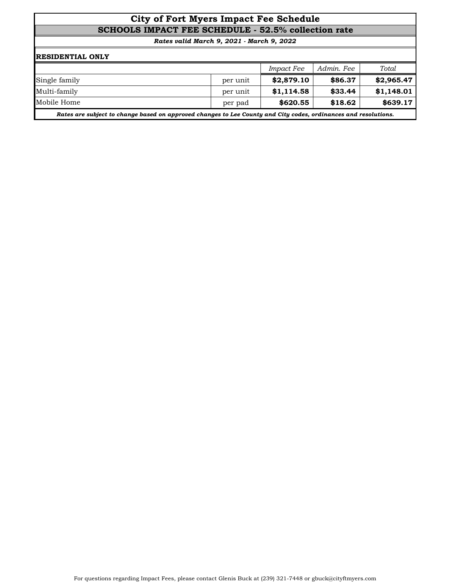## **City of Fort Myers Impact Fee Schedule SCHOOLS IMPACT FEE SCHEDULE - 52.5% collection rate**

| <b>RESIDENTIAL ONLY</b>                                                                                         |          |                   |            |            |  |  |
|-----------------------------------------------------------------------------------------------------------------|----------|-------------------|------------|------------|--|--|
|                                                                                                                 |          | <i>Impact Fee</i> | Admin. Fee | Total      |  |  |
| Single family                                                                                                   | per unit | \$2,879.10        | \$86.37    | \$2,965.47 |  |  |
| Multi-family                                                                                                    | per unit | \$1,114.58        | \$33.44    | \$1,148.01 |  |  |
| Mobile Home                                                                                                     | per pad  | \$620.55          | \$18.62    | \$639.17   |  |  |
| Rates are subject to change based on approved changes to Lee County and City codes, ordinances and resolutions. |          |                   |            |            |  |  |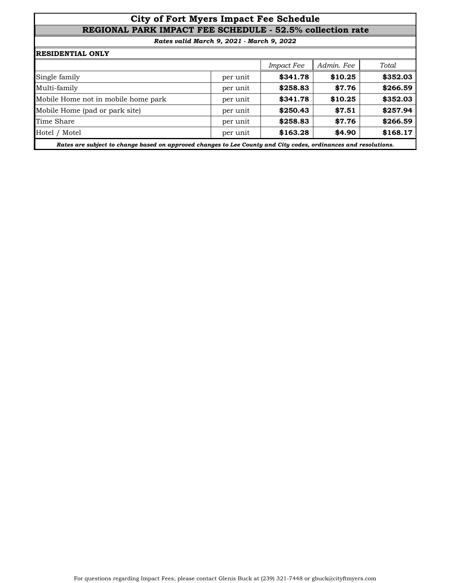## **City of Fort Myers Impact Fee Schedule REGIONAL PARK IMPACT FEE SCHEDULE - 52.5% collection rate**

|                                     |          | <b>Impact Fee</b> | Admin. Fee | Total    |
|-------------------------------------|----------|-------------------|------------|----------|
| Single family                       | per unit | \$341.78          | \$10.25    | \$352.03 |
| Multi-family                        | per unit | \$258.83          | \$7.76     | \$266.59 |
| Mobile Home not in mobile home park | per unit | \$341.78          | \$10.25    | \$352.03 |
| Mobile Home (pad or park site)      | per unit | \$250.43          | \$7.51     | \$257.94 |
| Time Share                          | per unit | \$258.83          | \$7.76     | \$266.59 |
| Hotel / Motel                       | per unit | \$163.28          | \$4.90     | \$168.17 |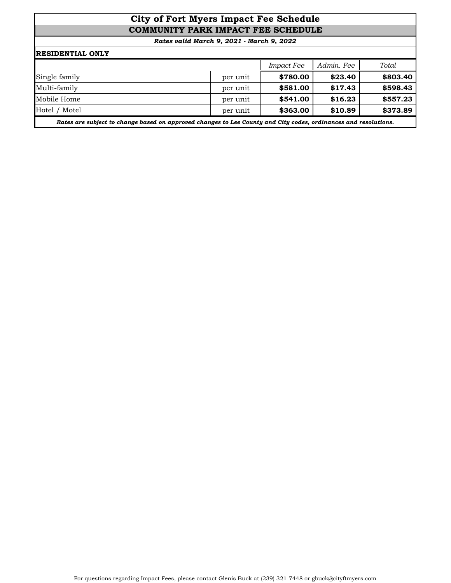# **City of Fort Myers Impact Fee Schedule COMMUNITY PARK IMPACT FEE SCHEDULE**

| <b>RESIDENTIAL ONLY</b>                                                                                         |          |                   |            |          |  |  |
|-----------------------------------------------------------------------------------------------------------------|----------|-------------------|------------|----------|--|--|
|                                                                                                                 |          | <b>Impact Fee</b> | Admin. Fee | Total    |  |  |
| Single family                                                                                                   | per unit | \$780.00          | \$23.40    | \$803.40 |  |  |
| Multi-family                                                                                                    | per unit | \$581.00          | \$17.43    | \$598.43 |  |  |
| Mobile Home                                                                                                     | per unit | \$541.00          | \$16.23    | \$557.23 |  |  |
| Hotel / Motel                                                                                                   | per unit | \$363.00          | \$10.89    | \$373.89 |  |  |
| Rates are subject to change based on approved changes to Lee County and City codes, ordinances and resolutions. |          |                   |            |          |  |  |